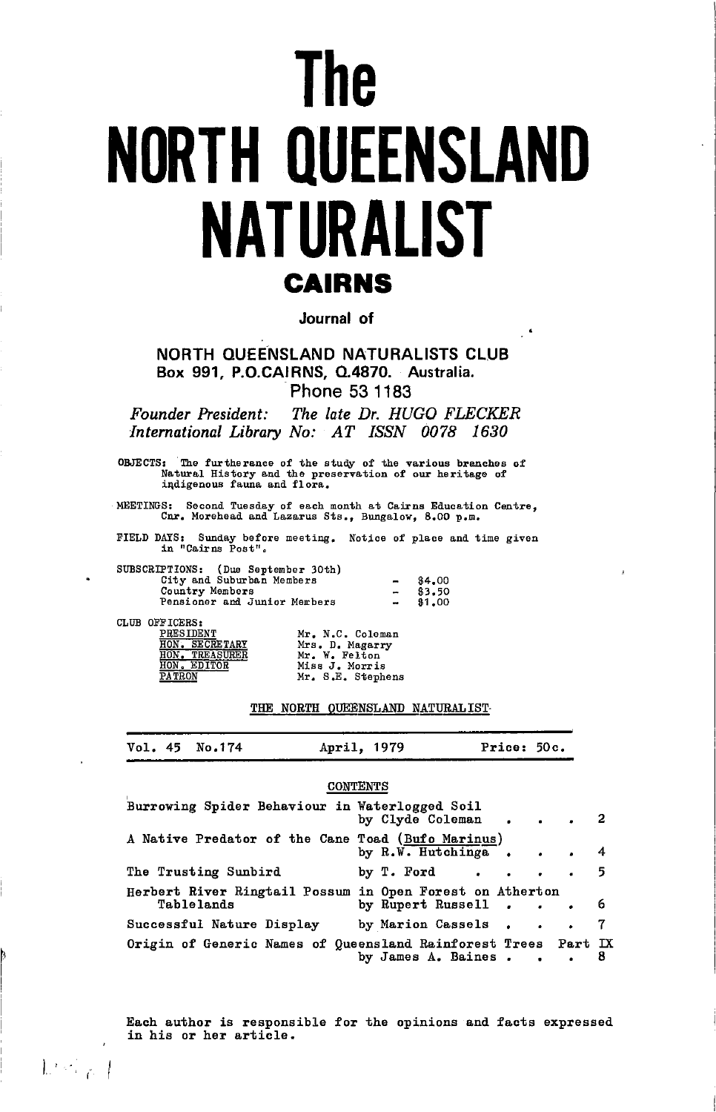# **The NORTH QUEENSLAND NATURALIST CAIRNS**

Journal of

NORTH QUEENSLAND NATURALISTS CLUB Box 991, P.O.CAIRNS, Q.4870. Australia. Phone 53 1183

Founder President: The late Dr. HUGO FLECKER International Library No: AT ISSN 0078 1630

OBJECTS: The furtherance of the study of the various branches of Natural History and the preservation of our heritage of indigenous fauna and flora.

MEETINGS: Second Tuesday of each month at Cairns Education Centre, Cnr. Morehead and Lazarus Sts., Bungalow, 8.00 p.m.

FIELD DAYS: Sunday before meeting. Notice of place and time given in "Cairns Post".

| SUBSCRIPTIONS: (Due September 30th) |                          |        |
|-------------------------------------|--------------------------|--------|
| City and Suburban Members           | -                        | \$4.00 |
| Country Members                     | $\overline{\phantom{a}}$ | \$3.50 |
| Pensioner and Junior Members        | $\overline{\phantom{a}}$ | \$1,00 |

CLUB OFFICERS:

 $\mathbb{R}^{n_{\text{out}}}$ 

PRESIDENT<br>HON. SECRETARY<br>HON. TREASURER<br>HON. EDITOR

Mr. N.C. Coleman Fr. N.C. Coleman<br>Mr. W. Felton<br>Miss J. Morris<br>Mr. S.E. Stephens

### THE NORTH QUEENSLAND NATURALIST

| Vol. 45 No.174<br>April, 1979 | Price: 50c. |
|-------------------------------|-------------|
|-------------------------------|-------------|

#### **CONTENTS**

| Burrowing Spider Behaviour in Waterlogged Soil                         | by Clyde Coleman                                                                                  |    |
|------------------------------------------------------------------------|---------------------------------------------------------------------------------------------------|----|
| A Native Predator of the Cane Toad (Bufo Marinus)                      | by $R.W.$ Hutchinga 4                                                                             |    |
| The Trusting Sunbird                                                   | by T. Ford $\cdots$ $\cdots$ 5                                                                    |    |
| Herbert River Ringtail Possum in Open Forest on Atherton<br>Tablelands | by Rupert Russell 6                                                                               |    |
| Successful Nature Display                                              | by Marion Cassels 7                                                                               |    |
|                                                                        | Origin of Generic Names of Queensland Rainforest Trees Part IX<br>by James A. Baines<br>$\bullet$ | 8. |

Each author is responsible for the opinions and facts expressed in his or her article.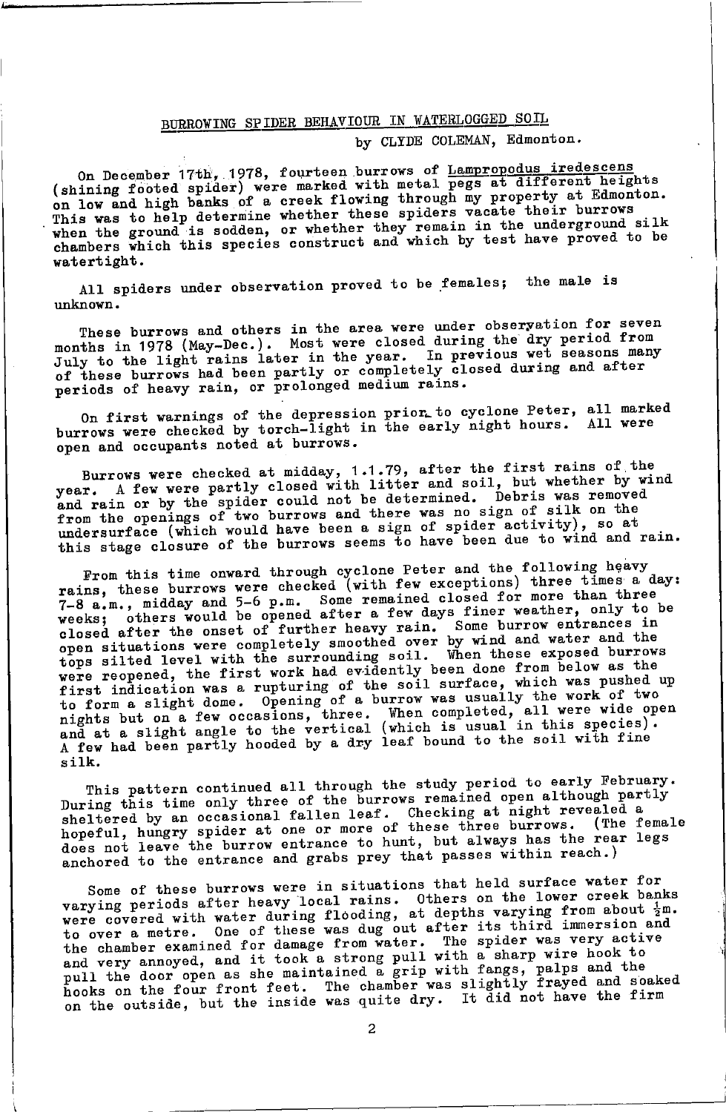# BURROWING SPIDER BEHAVIOUR IN WATERLOGGED SOIL

# by CLYDE COLEMAN, Edmonton.

On December 17th, 1978, fourteen burrows of Lampropodus iredescens<br>(shining footed spider) were marked with metal pegs at different heights on low and high banks of a creek flowing through my property at Edmonton.<br>This was to help determine whether these spiders vacate their burrows when the ground is sodden, or whether they remain in the underground silk<br>chambers which this species construct and which by test have proved to be watertight.

All spiders under observation proved to be females; the male is unknown.

These burrows and others in the area were under observation for seven months in 1978 (May-Dec.). Most were closed during the dry period from<br>July to the light rains later in the year. In previous wet seasons many of these burrows had been partly or completely closed during and after<br>periods of heavy rain, or prolonged medium rains.

On first warnings of the depression prior to cyclone Peter, all marked<br>burrows were checked by torch-light in the early night hours. All were open and occupants noted at burrows.

Burrows were checked at midday, 1.1.79, after the first rains of the year. A few were partly closed with litter and soil, but whether by wind and rain or by the spider could not be determined. Debris was removed from the openings of two burrows and there was no sign of silk on the undersurface (which would have been a sign of spider activity), so at this stage closure of the burrows seems to have been due to wind and rain.

From this time onward through cyclone Peter and the following heavy<br>rains, these burrows were checked (with few exceptions) three times a day: Telms, these purrows were checked (which lew exceptions) three these a day.<br>7-8 a.m., midday and 5-6 p.m. Some remained closed for more than three<br>weeks; others would be opened after a few days finer weather, only to be<br>cl tops silted level with the surrounding soil. When these exposed burrows were reopened, the first work had evidently been done from below as the first indication was a rupturing of the soil surface, which was pushed up to form a slight dome. Opening of a burrow was usually the work of two nights but on a few occasions, three. When completed, all were wide open<br>and at a slight angle to the vertical (which is usual in this species). A few had been partly hooded by a dry leaf bound to the soil with fine silk.

This pattern continued all through the study period to early February. During this time only three of the burrows remained open although partly sheltered by an occasional fallen leaf. Checking at night revealed a hopeful, hungry spider at one or more of these three burrows. (The female does not leave the burrow entrance to hunt, but always has the rear legs anchored to the entrance and grabs prey that passes within reach.)

Some of these burrows were in situations that held surface water for varying periods after heavy local rains. Others on the lower creek banks<br>were covered with water during flooding, at depths varying from about  $\frac{1}{2}$ m. to over a metre. One of these was dug out after its third immersion and<br>the chamber examined for damage from water. The spider was very active<br>and very annoyed, and it took a strong pull with a sharp wire hook to<br>and very pull the door open as she maintained a grip with fangs, palps and the hooks on the four front feet. The chamber was slightly frayed and soaked on the outside, but the inside was quite dry. It did not have the firm

 $\overline{a}$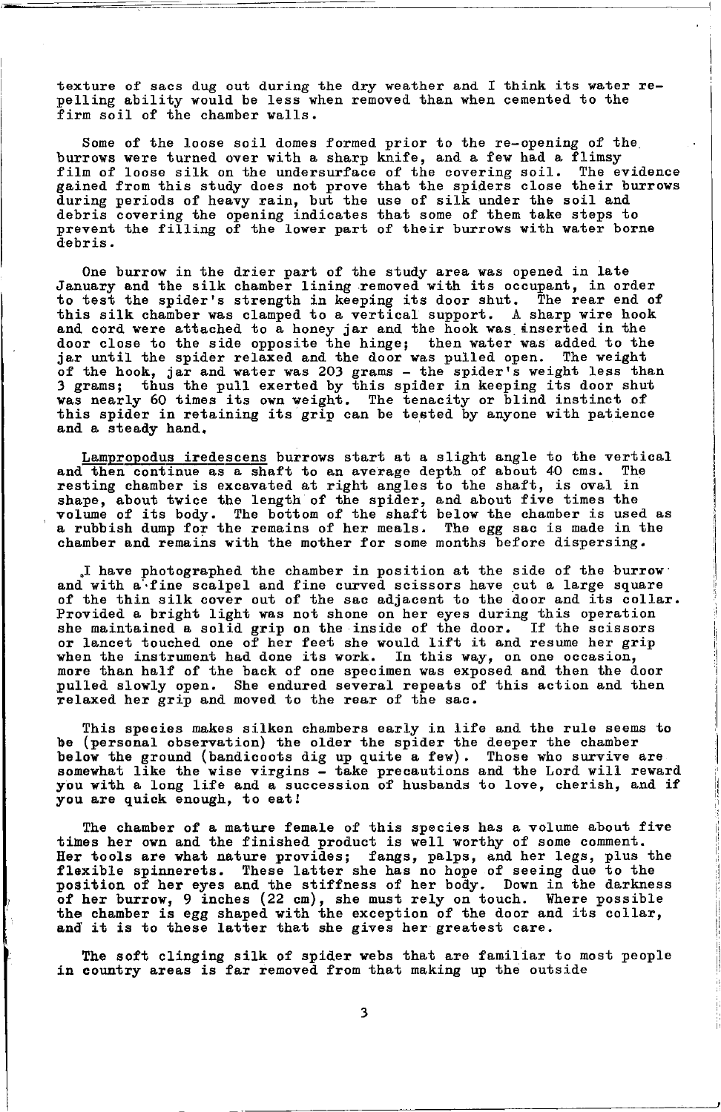texture of sacs dug out during the dry weather and I think its water repelling ability would be less when removed than when cemented to the firm soil of the chamber walls.

Some of the loose soil domes formed prior to the re-opening of the burrows were turned over with a sharp knife, and a few had a flimsy film of loose silk on the undersurface of the covering soil. The evidence gained from this study does not prove that the spiders close their burrows during periods of heavy rain, but the use of silk under the soil and debris covering the opening indicates that some of them take steps to prevent the filling of the lower part of their burrows with water borne debris.

One burrow in the drier part of the study area was opened in late January and the silk chamber lining removed with its occupant, in order to test the spider's strength in keeping its door shut. The rear end of this silk chamber was clamped to a vertical support. A sharp wire hook and cord were attached to a honey jar and the hook was inserted in the door close to the side opposite the hinge; then water was added to the jar until the spider relaxed and the door was pulled open. The weight of the hook, jar and water was 203 grams - the spider's weight less than<br>3 grams; thus the pull exerted by this spider in keeping its door shut<br>was nearly 60 times its own weight. The tenacity or blind instinct of this spider in retaining its grip can be tested by anyone with patience and a steady hand.

Lampropodus iredescens burrows start at a slight angle to the vertical and then continue as a shaft to an average depth of about 40 cms. The resting chamber is excavated at right angles to the shaft, is oval in shape, about twice the length of the spider, and about five times the volume of its body. The bottom of the shaft below the chamber is used as a rubbish dump for the remains of her meals. The egg sac is made in the chamber and remains with the mother for some months before dispersing.

I have photographed the chamber in position at the side of the burrow and with a fine scalpel and fine curved scissors have cut a large square<br>of the thin silk cover out of the sac adjacent to the door and its collar. Provided a bright light was not shone on her eyes during this operation<br>she maintained a solid grip on the inside of the door. If the scissors or lancet touched one of her feet she would lift it and resume her grip when the instrument had done its work. In this way, on one occasion, more than half of the back of one specimen was exposed and then the door pulled slowly open. She endured several repeats of this action and then relaxed her grip and moved to the rear of the sac.

This species makes silken chambers early in life and the rule seems to be (personal observation) the older the spider the deeper the chamber below the ground (bandicoots dig up quite a few). Those who survive are somewhat like the wise virgins - take precautions and the Lord will reward you with a long life and a succession of husbands to love, cherish, and if you are quick enough, to eat!

The chamber of a mature female of this species has a volume about five times her own and the finished product is well worthy of some comment. Her tools are what nature provides; fangs, palps, and her legs, plus the flexible spinnerets. These latter she has no hope of seeing due to the position of her eyes and the stiffness of her body. Down in the darkness position of the burrow, 9 inches (22 cm), she must rely on touch. Where possible<br>the chamber is egg shaped with the exception of the door and its collar,<br>and it is to these latter that she gives her greatest care.

The soft clinging silk of spider webs that are familiar to most people in country areas is far removed from that making up the outside

3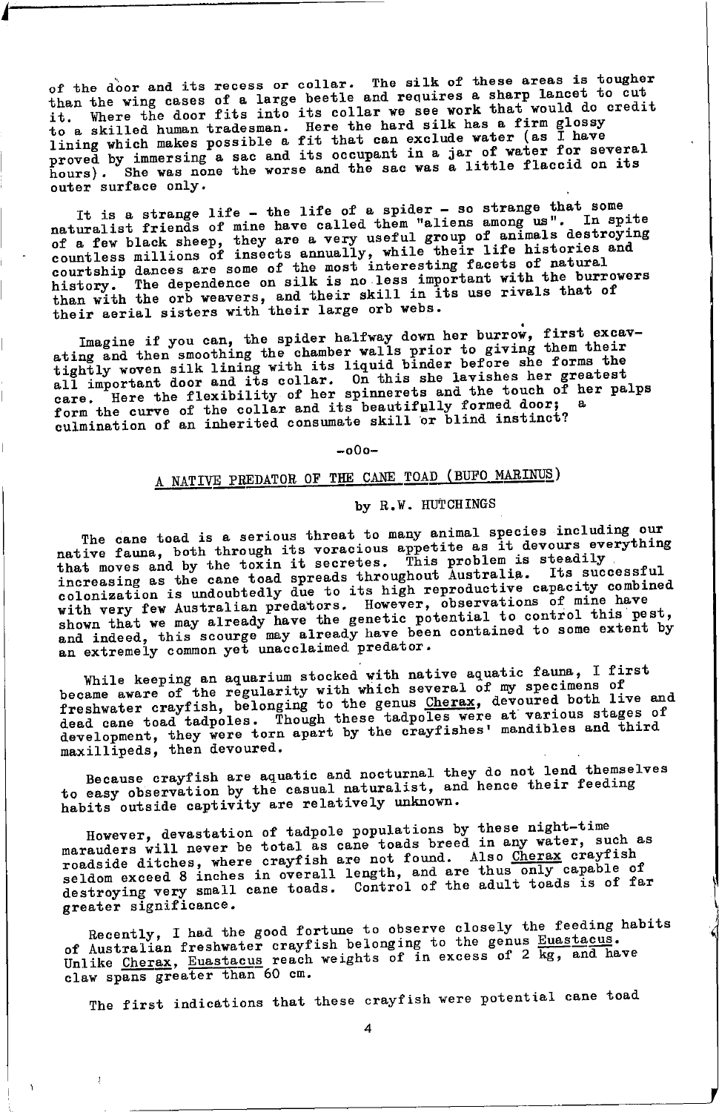of the door and its recess or collar. The silk of these areas is tougher than the wing cases of a large beetle and requires a sharp lancet to cut it. Where the door fits into its collar we see work that would do credit to a skilled human tradesman. Here the hard silk has a firm glossy lining which makes possible a fit that can exclude water (as I have proved by immersing a sac and its occupant in a jar of water for several hours). She was none the worse and the sac was a little flaccid on its outer surface only.

It is a strange life - the life of a spider - so strange that some naturalist friends of mine have called them "aliens among us". In spite of a few black sheep, they are a very useful group of animals destroying<br>countless millions of insects annually, while their life historical<br>courtship dances are some of the most interesting facets of natural history. The dependence on silk is no less important with the burrowers than with the orb weavers, and their skill in its use rivals that of their aerial sisters with their large orb webs.

Imagine if you can, the spider halfway down her burrow, first excavating and then smoothing the chamber walls prior to giving them their<br>tightly woven silk lining with its liquid binder before she forms the all important door and its collar. On this she lavishes her greatest<br>care. Here the flexibility of her spinnerets and the touch of her palps form the curve of the collar and its beautifully formed door; culmination of an inherited consumate skill or blind instinct?

 $-000-$ 

# A NATIVE PREDATOR OF THE CANE TOAD (BUFO MARINUS)

# by R.W. HUTCHINGS

The cane toad is a serious threat to many animal species including our In the call of the town is a serious unitative of many animal species including out<br>native fauna, both through its voracious appetite as it devours everything<br>that moves and by the toxin it secretes. This problem is steadi colonization is undoubtedly due to its high reproductive capacity combined with very few Australian predators. However, observations of mine have shown that we may already have the genetic potential to control this pest, and indeed, this scourge may already have been contained to some extent by an extremely common yet unacclaimed predator.

While keeping an aquarium stocked with native aquatic fauna, I first while are plug an aquarium stocked with native aquatic faunt, i lift<br>became aware of the regularity with which several of my specimens of<br>freshwater crayfish, belonging to the genus Cherax, devoured both live and<br>dead cane

Because crayfish are aquatic and nocturnal they do not lend themselves to easy observation by the casual naturalist, and hence their feeding habits outside captivity are relatively unknown.

However, devastation of tadpole populations by these night-time marauders will never be total as cane toads breed in any water, such as roadside ditches, where crayfish are not found. Also Cherax crayfish seldom exceed 8 inches in overall length, and are thus only capable of destroying very small cane toads. Control of the adult toads is of far greater significance.

Recently, I had the good fortune to observe closely the feeding habits of Australian freshwater crayfish belonging to the genus Euastacus.<br>Unlike Cherax, Euastacus reach weights of in excess of 2 kg, and have claw spans greater than 60 cm.

The first indications that these crayfish were potential cane toad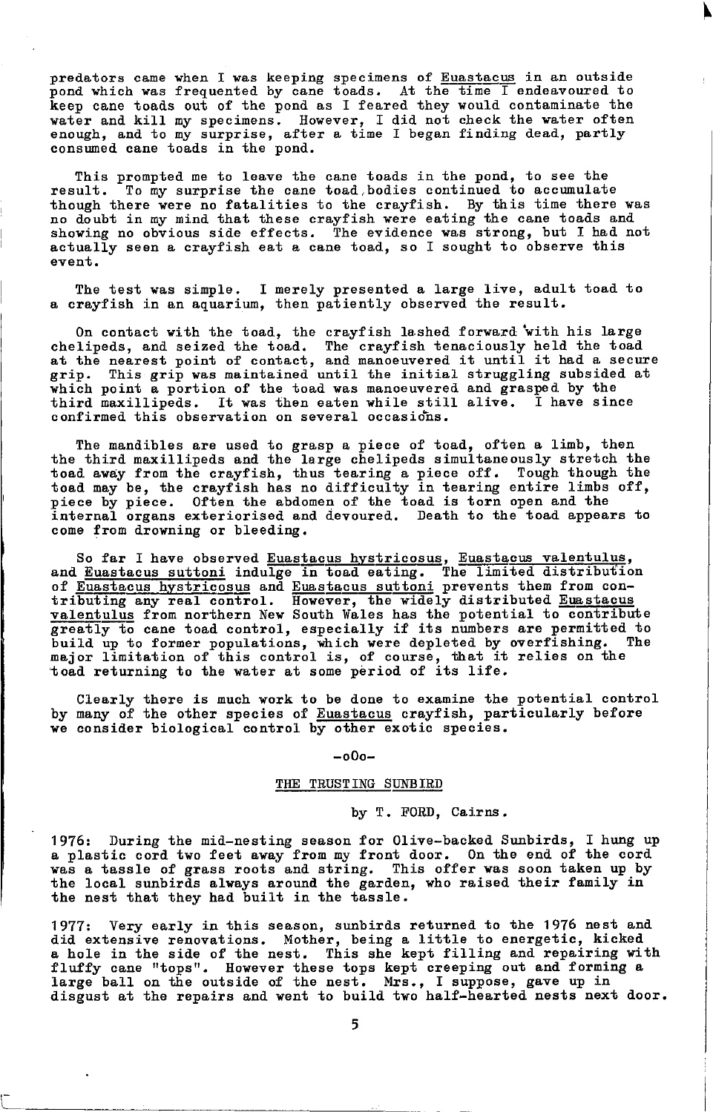predators came when I was keeping specimens of Euastacus in an outside pond which was frequented by cane toads. At the time I endeavoured to keep cane toads out of the pond as I feared they would contaminate the water and kill my specimens. However, I did not check the water often enough, and to my surprise, after a time I began finding dead, partly consumed cane toads in the pond.

This prompted me to leave the cane toads in the pond, to see the result. To my surprise the cane toad, bodies continued to accumulate tbough there vere no fatalities to the crayfish. By this time there was no doubt in my mind that these crayfish were eating the cane toads and showing no obvious side effects. The evidence was strong, but I had not actually seen a crayfish eat a cane toad, so I sought to observe this event.

The test was simple. I merely presented a large live, adult toad to a crayfish in an aquarium, then patiently observed the result.

On contact with the toad, the crayfish lashed forward with his large chelipeds, and seized the toad. The crayfish tenaciously held the toad at the nearest point of contact, and manoeuvered it until it had a secure grip. This grip was maintained until the initial struggling subsided at which point a portion of the toad was manoeuvered and grasped by the<br>third maxillipeds. It was then eaten while still alive. I have since third maxillipeds. It was then eaten while still alive. confirmed this observation on several occasions.

The mandibles are used to grasp a piece of toad, often a limb, then the third maxillipeds and the large chelipeds simultaneously stretch the toad. avay frorn the crayfish, thus tearing a piece off. Tough though the toad may be, the crayfish has no difficulty in tearing entire limbs off, piece by piece. Often the abdomen of the toad is torn open and the internal organs exteriorised and devoured. Death to the toad appears to come from drowning or bleeding.

So far I have observed Euastacus hystricosus, Euastacus valentulus,<br>and Euastacus suttoni indulge in toad eating. The limited distribution tributing any real-control. However, the widely distributed Eunstacus<br>valentulus from northern New South Wales has the potential to contribute<br>greatly to cane toad control, especially if its numbers are permitted to grows we can come control, which were depleted by overfishing. The<br>major limitation of this control is, of course, that it relies on the toad returning to the water at some period of its life.

Clearly there is much work to be done to examine the potential control by many of the other species of Euastacus crayfish, particularly before we consider biological control by other exotic species.

#### -o0o-

# THE TRUSTING SUNBIRD

# by T. FORD, Cairns.

1976: During the mid-nesting season for Olive-backed Sunbirds, I hung up a plastic cord two feet away from my front door. On the end of the cord was a tassle of grass roots and string. This offer was soon taken up by the local sunbirds always around the garden, who raised their family in the nest that they had built in the tassle

1977: Very early in this season, sunbirds returned to the 1976 nest and did extensive renovations. Mother, being a little to energetic, kicked a hole in the side of the nest. This she kept filling and repairing with fluffy cane "tops". However these tops kept creeping out and forming a large ball on the outside of the nest. Mrs., I suppose, gave up in disgust at the repairs and went to build two half-hearted nests next door.

 $\Box$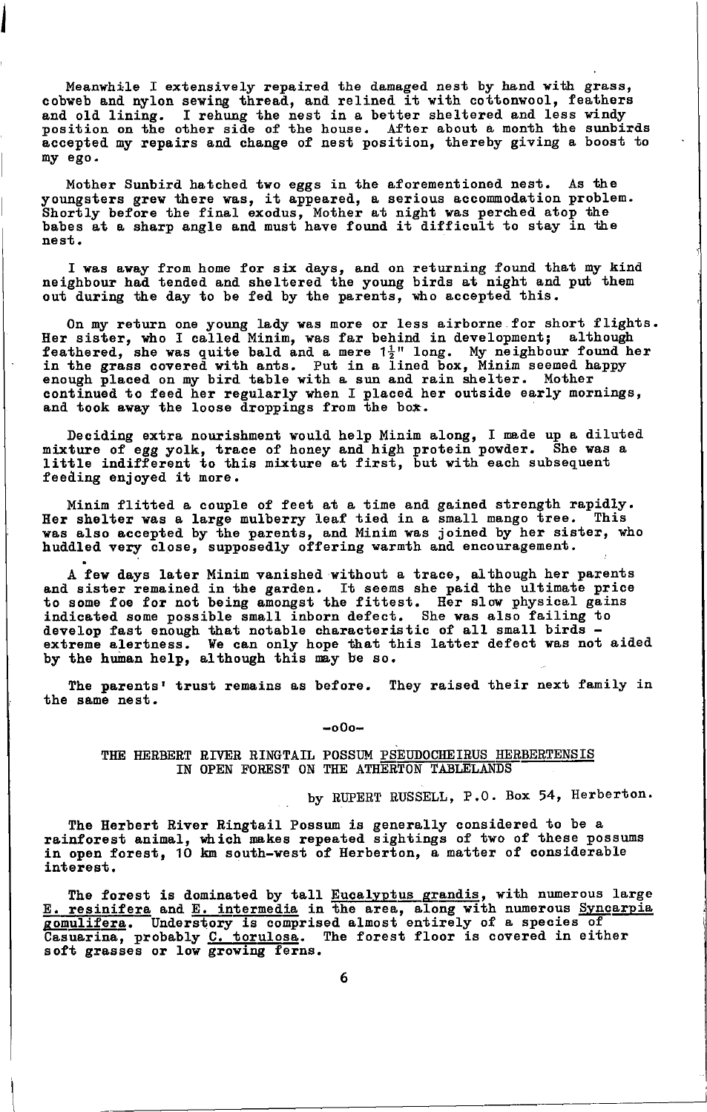Meanwhile I extensively repaired the damaged nest by hand with grass, cobweb and nylon sewing thread, and relined it with cottonwool, feathers<br>and old lining. I rehung the nest in a better sheltered and less windy position on the other side of the house. After about a month the sunbirds accepted my repairs and change of nest position, thereby giving a boost to ny ego.

Mother Sunbird hatched two eggs in the aforementioned nest. As the youngsters grew there was, it appeared, a serious accommodation problem.<br>Shortly before the final exodus, Mother at night was perched atop the<br>babes at a sharp angle and must have found it difficult to stay in the nest.

I was away from home for six days, and on returning found that my kind neighbour had tended and sheltered the young birds at night and put them out tluring the tlay to be fetl by the parents, rio acceptect this.

On my return one young lady was more or less airborne for short flights. Her sister, who I called Minim, was far behind in development; although feathered, she was quite bald and a mere  $1\frac{1}{2}$ " long. My neighbour found her in the grass covered with ants. Put in a lined box, Minim seemed happy enough placed on my bird table with a sun and rain shelter. Mother continued to feed her regularly when I placed her outside early mornings, and took away the loose droppings from the box.

Deciding extra nourishment would help Minim along, I made up a diluted mixture of egg yolk, trace of honey and high protein powder. She was a little indifferent to this mixture at first, but with each subsequent feeding enjoyed it more.

Minim flitted a couple of feet at a time and gained strength rapidly.<br>Her shelter was a large mulberry leaf tied in a small mango tree. This was also accepted by the parents, and Minim was joined by her sister, who huddled very close, supposedly offering warmth and encouragement

A few days later Minim vanished without a trace, although her parents<br>and sister remained in the garden. It seems she paid the ultimate price<br>to some foe for not being amongst the fittest. Her slow physical gains indicated some possible small inborn defect. She was also failing to induction fast enough that notable characteristic of all small birds -<br>extreme alertness. We can only hope that this latter defect was not aided by the human help, although this may be so.

The parents' trust remains as before. They raised their next family in the sane nest.

 $-000-$ 

THE HERBERT RIVER RINGTAIL POSSUM PSEUDOCHEIRUS HERBERTENSIS IN OPEN FOREST ON THE ATHERTON TABLELANDS

by RUPERT RUSSELL, P.O. Box 54, Herberton.

The Herbert River Ringtail Possum is generally considered to be a rainforest animal, which makes repeated sightings of two of these possums in open forest, 10 km south-west of Herberton, a matter of considerable interest.

The forest is dominated by tall Eucalyptus grandis, with numerous large  $E.$  resinifera and  $E.$  intermedia in the area, along with numerous Syncarpia gomulifera. Understory is comprised almost entirely of a species of Casuarina, probably C. torulosa. The forest floor is covered in either soft grasses or Iov groving ferns.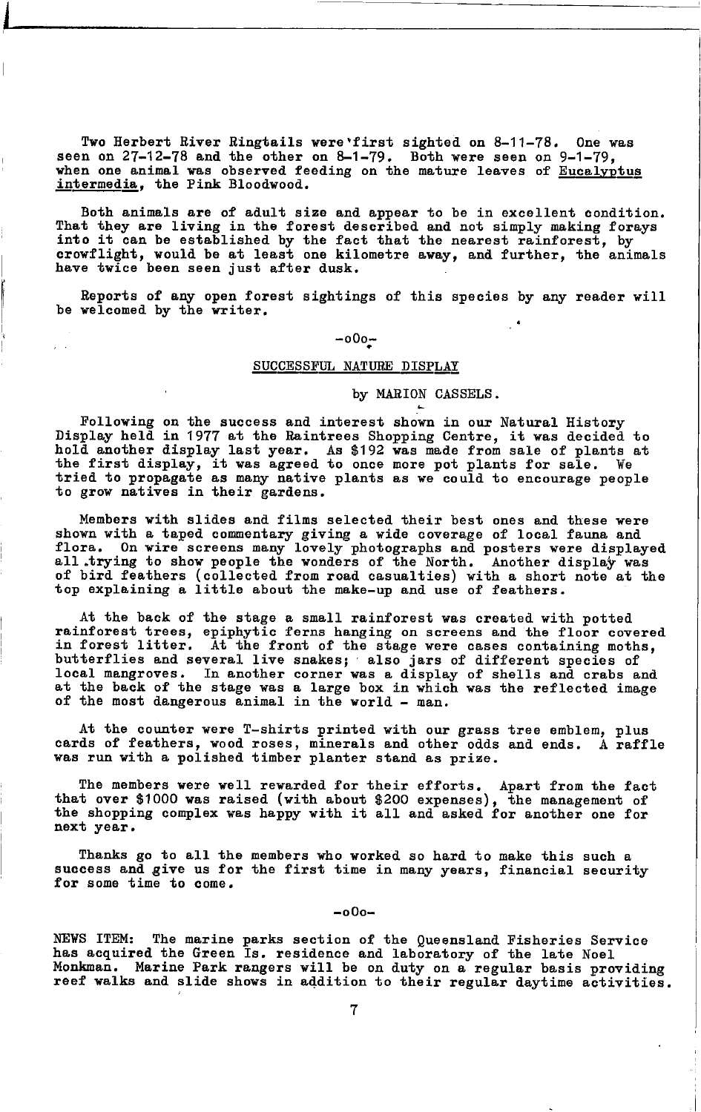Two Herbert River Ringtails were first sighted on 8-11-78. One was seen on 27-12-78 and the other on 8-1-79. Both were seen on 9-1-79, when one animal was observed feeding on the mature leaves of Eucalyptus intermedia, the Pink Bloodwood.

Both animals are of adult size and appear to be in excellent condition. That they are living in the forest described and not simply making forays into it can be established by the fact that the nearest rainforest, by crowflight, would be at least one kilometre away, and further, the animals have twice been seen just after dusk.

Reports of any open forest sightings of this species by any reader will be welcomed by the writer.

# $-000 -$

# SUCCESSFUL NATURE DISPLAY

by MARION CASSELS.

Following on the success and interest shown in our Natural History Display held in 1977 at the Raintrees Shopping Centre, it was decided to hold another display last year. As \$192 was made from sale of plants at the first display, it was agreed to once more pot plants for sale. We tried t to grow natives in their gardens.

Members with slides and films selected their best ones and these were shown with a taped commentary giving a wide coverage of local fauna and flora. On wire screens many lovely photographs and posters were displayed all trying to show people the wonders of the North. Another display was of bird feathers (collected from road casualties) with a short note at the top explaining a little about the make-up and use of feathers.

At the back of the stage a small rainforest was created with potted rainforest trees, epiphytic ferns hanging on screens and the floor covered<br>in forest litter. At the front of the stage were cases containing moths, butterflies and several live snakes; also jars of different species of<br>local mangroves. In another corner was a display of shells and crabs and<br>at the back of the stage was a large box in which was the reflected image of the most dangerous animal in the world - man.

At the counter were T-shirts printed with our grass tree emblem, plus cards of feathers, wood roses, minerals and other odds and ends. A raffle was run with a polished timber planter stand as prize.

The members were well rewarded for their efforts. Apart from the fact<br>that over \$1000 was raised (with about \$200 expenses), the management of<br>the shopping complex was happy with it all and asked for another one for next year.

Thanks go to all the members who worked so hard to make this such a success and give us for the first time in many years, financial security for some time to come.

 $-000-$ 

NEWS ITEM: The marine parks section of the Queensland Fisheries Service has acquired the Green Is. residence and laboratory of the late Noel Monkman. Marine Park rangers will be on duty on a regular basis providing reef walks and slide shows in addition to their regular daytime activities.